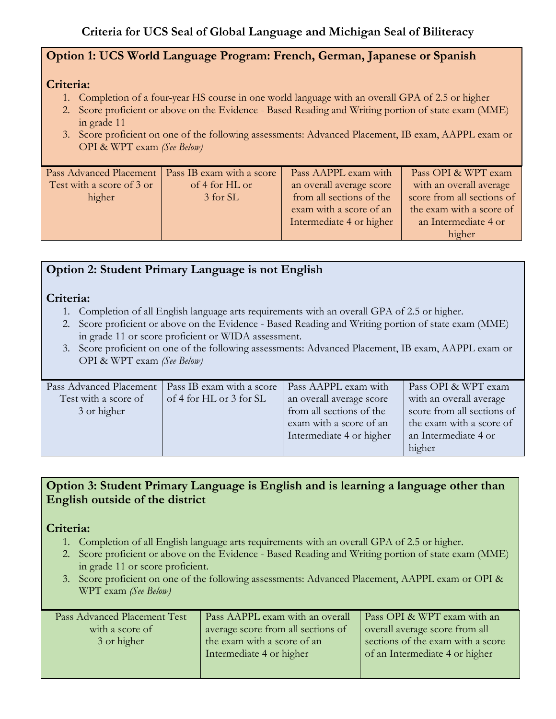## **Option 1: UCS World Language Program: French, German, Japanese or Spanish**

## **Criteria:**

- 1. Completion of a four-year HS course in one world language with an overall GPA of 2.5 or higher
- 2. Score proficient or above on the Evidence Based Reading and Writing portion of state exam (MME) in grade 11
- 3. Score proficient on one of the following assessments: Advanced Placement, IB exam, AAPPL exam or OPI & WPT exam *(See Below)*

| Pass Advanced Placement   | Pass IB exam with a score | Pass AAPPL exam with     | Pass OPI & WPT exam        |
|---------------------------|---------------------------|--------------------------|----------------------------|
| Test with a score of 3 or | of 4 for HL or            | an overall average score | with an overall average    |
| higher                    | 3 for SL                  | from all sections of the | score from all sections of |
|                           |                           | exam with a score of an  | the exam with a score of   |
|                           |                           | Intermediate 4 or higher | an Intermediate 4 or       |
|                           |                           |                          | higher                     |
|                           |                           |                          |                            |

# **Option 2: Student Primary Language is not English**

## **Criteria:**

- 1. Completion of all English language arts requirements with an overall GPA of 2.5 or higher.
- 2. Score proficient or above on the Evidence Based Reading and Writing portion of state exam (MME) in grade 11 or score proficient or WIDA assessment.
- 3. Score proficient on one of the following assessments: Advanced Placement, IB exam, AAPPL exam or OPI & WPT exam *(See Below)*

| Pass OPI & WPT exam        |
|----------------------------|
| with an overall average    |
| score from all sections of |
| the exam with a score of   |
|                            |
|                            |
| an Intermediate 4 or       |

## **Option 3: Student Primary Language is English and is learning a language other than English outside of the district**

## **Criteria:**

- 1. Completion of all English language arts requirements with an overall GPA of 2.5 or higher.
- 2. Score proficient or above on the Evidence Based Reading and Writing portion of state exam (MME) in grade 11 or score proficient.
- 3. Score proficient on one of the following assessments: Advanced Placement, AAPPL exam or OPI & WPT exam *(See Below)*

| Pass Advanced Placement Test | Pass AAPPL exam with an overall    | Pass OPI & WPT exam with an       |
|------------------------------|------------------------------------|-----------------------------------|
| with a score of              | average score from all sections of | overall average score from all    |
| 3 or higher                  | the exam with a score of an        | sections of the exam with a score |
|                              | Intermediate 4 or higher           | of an Intermediate 4 or higher    |
|                              |                                    |                                   |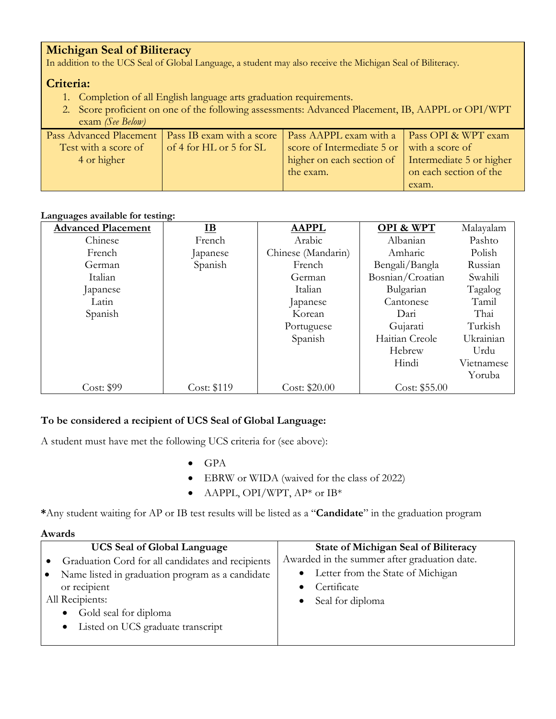## **Michigan Seal of Biliteracy**

In addition to the UCS Seal of Global Language, a student may also receive the Michigan Seal of Biliteracy.

## **Criteria:**

- 1. Completion of all English language arts graduation requirements.
- 2. Score proficient on one of the following assessments: Advanced Placement, IB, AAPPL or OPI/WPT exam *(See Below)*

|                      |                         | Pass Advanced Placement   Pass IB exam with a score   Pass AAPPL exam with a   Pass OPI & WPT exam |                        |
|----------------------|-------------------------|----------------------------------------------------------------------------------------------------|------------------------|
| Test with a score of | of 4 for HL or 5 for SL | score of Intermediate 5 or with a score of                                                         |                        |
| 4 or higher          |                         | higher on each section of   Intermediate 5 or higher                                               |                        |
|                      |                         | the exam.                                                                                          | on each section of the |
|                      |                         |                                                                                                    | exam.                  |

#### **Languages available for testing:**

| <b>Advanced Placement</b> | $\underline{\mathbf{IB}}$ | <b>AAPPL</b>       | <b>OPI &amp; WPT</b> | Malayalam  |
|---------------------------|---------------------------|--------------------|----------------------|------------|
| Chinese                   | French                    | Arabic             | Albanian             | Pashto     |
| French                    | Japanese                  | Chinese (Mandarin) | Amharic              | Polish     |
| German                    | Spanish                   | French             | Bengali/Bangla       | Russian    |
| Italian                   |                           | German             | Bosnian/Croatian     | Swahili    |
| Japanese                  |                           | Italian            | Bulgarian            | Tagalog    |
| Latin                     |                           | Japanese           | Cantonese            | Tamil      |
| Spanish                   |                           | Korean             | Dari                 | Thai       |
|                           |                           | Portuguese         | Gujarati             | Turkish    |
|                           |                           | Spanish            | Haitian Creole       | Ukrainian  |
|                           |                           |                    | Hebrew               | Urdu       |
|                           |                           |                    | Hindi                | Vietnamese |
|                           |                           |                    |                      | Yoruba     |
| Cost: \$99                | Cost: \$119               | Cost: \$20.00      | Cost: \$55.00        |            |

## **To be considered a recipient of UCS Seal of Global Language:**

A student must have met the following UCS criteria for (see above):

- GPA
- EBRW or WIDA (waived for the class of 2022)
- AAPPL, OPI/WPT, AP\* or IB\*

**\***Any student waiting for AP or IB test results will be listed as a "**Candidate**" in the graduation program

#### **Awards**

| <b>UCS Seal of Global Language</b>                            | <b>State of Michigan Seal of Biliteracy</b>  |
|---------------------------------------------------------------|----------------------------------------------|
| Graduation Cord for all candidates and recipients             | Awarded in the summer after graduation date. |
| Name listed in graduation program as a candidate<br>$\bullet$ | • Letter from the State of Michigan          |
| or recipient                                                  | Certificate                                  |
| All Recipients:                                               | • Seal for diploma                           |
| Gold seal for diploma<br>$\bullet$                            |                                              |
| Listed on UCS graduate transcript<br>$\bullet$                |                                              |
|                                                               |                                              |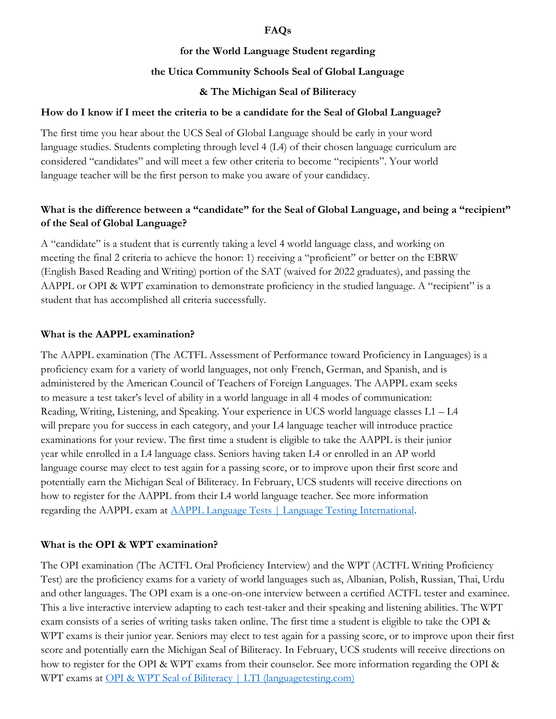#### **FAQs**

#### **for the World Language Student regarding**

#### **the Utica Community Schools Seal of Global Language**

#### **& The Michigan Seal of Biliteracy**

#### **How do I know if I meet the criteria to be a candidate for the Seal of Global Language?**

The first time you hear about the UCS Seal of Global Language should be early in your word language studies. Students completing through level 4 (L4) of their chosen language curriculum are considered "candidates" and will meet a few other criteria to become "recipients". Your world language teacher will be the first person to make you aware of your candidacy.

### **What is the difference between a "candidate" for the Seal of Global Language, and being a "recipient" of the Seal of Global Language?**

A "candidate" is a student that is currently taking a level 4 world language class, and working on meeting the final 2 criteria to achieve the honor: 1) receiving a "proficient" or better on the EBRW (English Based Reading and Writing) portion of the SAT (waived for 2022 graduates), and passing the AAPPL or OPI & WPT examination to demonstrate proficiency in the studied language. A "recipient" is a student that has accomplished all criteria successfully.

#### **What is the AAPPL examination?**

The AAPPL examination (The ACTFL Assessment of Performance toward Proficiency in Languages) is a proficiency exam for a variety of world languages, not only French, German, and Spanish, and is administered by the American Council of Teachers of Foreign Languages. The AAPPL exam seeks to measure a test taker's level of ability in a world language in all 4 modes of communication: Reading, Writing, Listening, and Speaking. Your experience in UCS world language classes L1 – L4 will prepare you for success in each category, and your L4 language teacher will introduce practice examinations for your review. The first time a student is eligible to take the AAPPL is their junior year while enrolled in a L4 language class. Seniors having taken L4 or enrolled in an AP world language course may elect to test again for a passing score, or to improve upon their first score and potentially earn the Michigan Seal of Biliteracy. In February, UCS students will receive directions on how to register for the AAPPL from their L4 world language teacher. See more information regarding the AAPPL exam at [AAPPL Language Tests | Language Testing International.](https://www.languagetesting.com/lti-for-organizations/k-12-aappl)

#### **What is the OPI & WPT examination?**

The OPI examination (The ACTFL Oral Proficiency Interview) and the WPT (ACTFL Writing Proficiency Test) are the proficiency exams for a variety of world languages such as, Albanian, Polish, Russian, Thai, Urdu and other languages. The OPI exam is a one-on-one interview between a certified ACTFL tester and examinee. This a live interactive interview adapting to each test-taker and their speaking and listening abilities. The WPT exam consists of a series of writing tasks taken online. The first time a student is eligible to take the OPI & WPT exams is their junior year. Seniors may elect to test again for a passing score, or to improve upon their first score and potentially earn the Michigan Seal of Biliteracy. In February, UCS students will receive directions on how to register for the OPI & WPT exams from their counselor. See more information regarding the OPI & WPT exams at [OPI & WPT Seal of Biliteracy | LTI \(languagetesting.com\)](https://www.languagetesting.com/sobl-opi-wpt)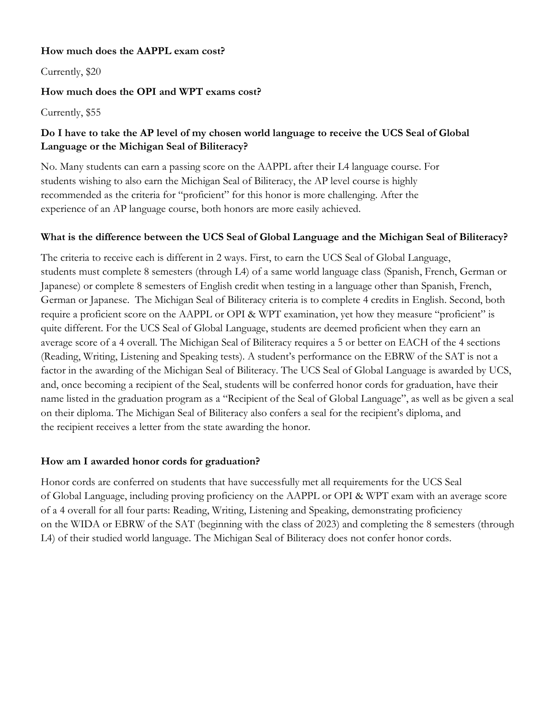#### **How much does the AAPPL exam cost?**

Currently, \$20

#### **How much does the OPI and WPT exams cost?**

Currently, \$55

### **Do I have to take the AP level of my chosen world language to receive the UCS Seal of Global Language or the Michigan Seal of Biliteracy?**

No. Many students can earn a passing score on the AAPPL after their L4 language course. For students wishing to also earn the Michigan Seal of Biliteracy, the AP level course is highly recommended as the criteria for "proficient" for this honor is more challenging. After the experience of an AP language course, both honors are more easily achieved.

## **What is the difference between the UCS Seal of Global Language and the Michigan Seal of Biliteracy?**

The criteria to receive each is different in 2 ways. First, to earn the UCS Seal of Global Language, students must complete 8 semesters (through L4) of a same world language class (Spanish, French, German or Japanese) or complete 8 semesters of English credit when testing in a language other than Spanish, French, German or Japanese. The Michigan Seal of Biliteracy criteria is to complete 4 credits in English. Second, both require a proficient score on the AAPPL or OPI & WPT examination, yet how they measure "proficient" is quite different. For the UCS Seal of Global Language, students are deemed proficient when they earn an average score of a 4 overall. The Michigan Seal of Biliteracy requires a 5 or better on EACH of the 4 sections (Reading, Writing, Listening and Speaking tests). A student's performance on the EBRW of the SAT is not a factor in the awarding of the Michigan Seal of Biliteracy. The UCS Seal of Global Language is awarded by UCS, and, once becoming a recipient of the Seal, students will be conferred honor cords for graduation, have their name listed in the graduation program as a "Recipient of the Seal of Global Language", as well as be given a seal on their diploma. The Michigan Seal of Biliteracy also confers a seal for the recipient's diploma, and the recipient receives a letter from the state awarding the honor.

## **How am I awarded honor cords for graduation?**

Honor cords are conferred on students that have successfully met all requirements for the UCS Seal of Global Language, including proving proficiency on the AAPPL or OPI & WPT exam with an average score of a 4 overall for all four parts: Reading, Writing, Listening and Speaking, demonstrating proficiency on the WIDA or EBRW of the SAT (beginning with the class of 2023) and completing the 8 semesters (through L4) of their studied world language. The Michigan Seal of Biliteracy does not confer honor cords.